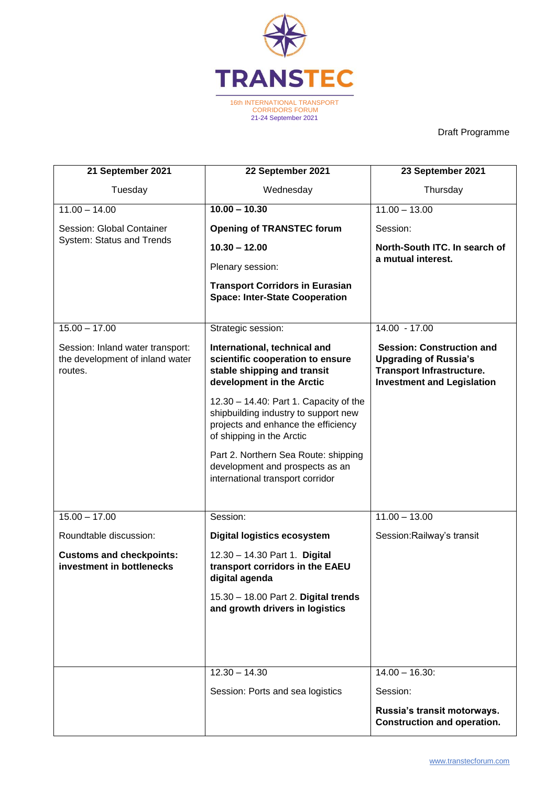

Draft Programme

| 21 September 2021                                                              | 22 September 2021                                                                                                                                  | 23 September 2021                                                                                                                         |
|--------------------------------------------------------------------------------|----------------------------------------------------------------------------------------------------------------------------------------------------|-------------------------------------------------------------------------------------------------------------------------------------------|
| Tuesday                                                                        | Wednesday                                                                                                                                          | Thursday                                                                                                                                  |
| $11.00 - 14.00$                                                                | $10.00 - 10.30$                                                                                                                                    | $11.00 - 13.00$                                                                                                                           |
| Session: Global Container<br>System: Status and Trends                         | <b>Opening of TRANSTEC forum</b>                                                                                                                   | Session:                                                                                                                                  |
|                                                                                | $10.30 - 12.00$                                                                                                                                    | North-South ITC. In search of                                                                                                             |
|                                                                                | Plenary session:                                                                                                                                   | a mutual interest.                                                                                                                        |
|                                                                                | <b>Transport Corridors in Eurasian</b><br><b>Space: Inter-State Cooperation</b>                                                                    |                                                                                                                                           |
| $15.00 - 17.00$                                                                | Strategic session:                                                                                                                                 | 14.00 - 17.00                                                                                                                             |
| Session: Inland water transport:<br>the development of inland water<br>routes. | International, technical and<br>scientific cooperation to ensure<br>stable shipping and transit<br>development in the Arctic                       | <b>Session: Construction and</b><br><b>Upgrading of Russia's</b><br><b>Transport Infrastructure.</b><br><b>Investment and Legislation</b> |
|                                                                                | 12.30 - 14.40: Part 1. Capacity of the<br>shipbuilding industry to support new<br>projects and enhance the efficiency<br>of shipping in the Arctic |                                                                                                                                           |
|                                                                                | Part 2. Northern Sea Route: shipping<br>development and prospects as an<br>international transport corridor                                        |                                                                                                                                           |
| $15.00 - 17.00$                                                                | Session:                                                                                                                                           | $11.00 - 13.00$                                                                                                                           |
| Roundtable discussion:                                                         | <b>Digital logistics ecosystem</b>                                                                                                                 | Session: Railway's transit                                                                                                                |
| <b>Customs and checkpoints:</b><br>investment in bottlenecks                   | 12.30 - 14.30 Part 1. Digital<br>transport corridors in the EAEU<br>digital agenda                                                                 |                                                                                                                                           |
|                                                                                | 15.30 - 18.00 Part 2. Digital trends<br>and growth drivers in logistics                                                                            |                                                                                                                                           |
|                                                                                |                                                                                                                                                    |                                                                                                                                           |
|                                                                                | $12.30 - 14.30$                                                                                                                                    | $14.00 - 16.30$ :                                                                                                                         |
|                                                                                | Session: Ports and sea logistics                                                                                                                   | Session:                                                                                                                                  |
|                                                                                |                                                                                                                                                    | Russia's transit motorways.<br><b>Construction and operation.</b>                                                                         |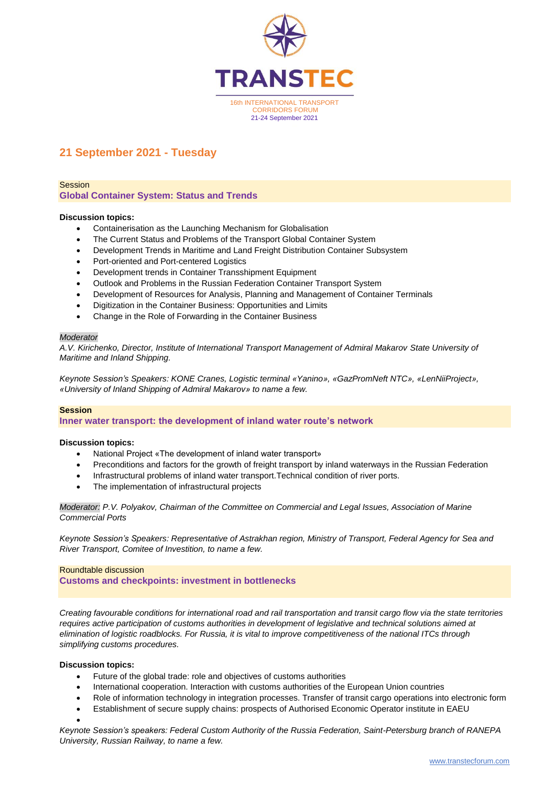

# **21 September 2021 - Tuesday**

Session

**Global Container System: Status and Trends**

#### **Discussion topics:**

- Containerisation as the Launching Mechanism for Globalisation
- The Current Status and Problems of the Transport Global Container System
- Development Trends in Maritime and Land Freight Distribution Container Subsystem
- Port-oriented and Port-centered Logistics
- Development trends in Container Transshipment Equipment
- Outlook and Problems in the Russian Federation Container Transport System
- Development of Resources for Analysis, Planning and Management of Container Terminals
- Digitization in the Container Business: Opportunities and Limits
- Change in the Role of Forwarding in the Container Business

#### *Moderator*

*A.V. Kirichenko, Director, Institute of International Transport Management of Admiral Makarov State University of Maritime and Inland Shipping.*

*Keynote Session's Speakers: KONE Cranes, Logistic terminal «Yanino», «GazPromNeft NTC», «LenNiiProject», «University of Inland Shipping of Admiral Makarov» to name a few.*

#### **Session**

**Inner water transport: the development of inland water route's network**

#### **Discussion topics:**

- National Project «The development of inland water transport»
- Preconditions and factors for the growth of freight transport by inland waterways in the Russian Federation
- Infrastructural problems of inland water transport.Technical condition of river ports.
- The implementation of infrastructural projects

*Moderator: P.V. Polyakov, Chairman of the Committee on Commercial and Legal Issues, Association of Marine Commercial Ports*

*Keynote Session's Speakers: Representative of Astrakhan region, Ministry of Transport, Federal Agency for Sea and River Transport, Comitee of Investition, to name a few.*

#### Roundtable discussion

**Customs and checkpoints: investment in bottlenecks**

*Creating favourable conditions for international road and rail transportation and transit cargo flow via the state territories requires active participation of customs authorities in development of legislative and technical solutions aimed at elimination of logistic roadblocks. For Russia, it is vital to improve competitiveness of the national ITCs through simplifying customs procedures.* 

#### **Discussion topics:**

- Future of the global trade: role and objectives of customs authorities
- International cooperation. Interaction with customs authorities of the European Union countries
- Role of information technology in integration processes. Transfer of transit cargo operations into electronic form
- Establishment of secure supply chains: prospects of Authorised Economic Operator institute in EAEU
- $\bullet$

*Keynote Session's speakers: Federal Custom Authority of the Russia Federation, Saint-Petersburg branch of RANEPA University, Russian Railway, to name a few.*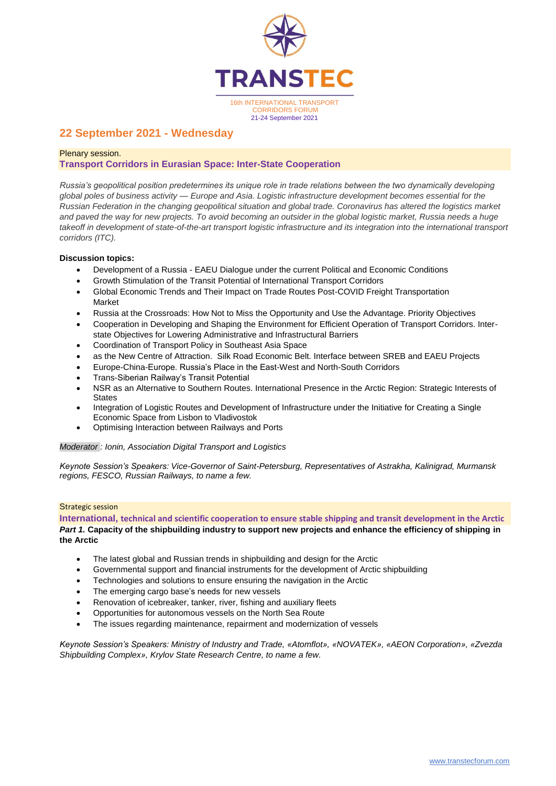

# **22 September 2021 - Wednesday**

# Plenary session. **Transport Corridors in Eurasian Space: Inter-State Cooperation**

*Russia's geopolitical position predetermines its unique role in trade relations between the two dynamically developing global poles of business activity — Europe and Asia. Logistic infrastructure development becomes essential for the Russian Federation in the changing geopolitical situation and global trade. Coronavirus has altered the logistics market and paved the way for new projects. To avoid becoming an outsider in the global logistic market, Russia needs a huge*  takeoff in development of state-of-the-art transport logistic infrastructure and its integration into the international transport *corridors (ITC).* 

# **Discussion topics:**

- Development of a Russia EAEU Dialogue under the current Political and Economic Conditions
- Growth Stimulation of the Transit Potential of International Transport Corridors
- Global Economic Trends and Their Impact on Trade Routes Post-COVID Freight Transportation Market
- Russia at the Crossroads: How Not to Miss the Opportunity and Use the Advantage. Priority Objectives
- Cooperation in Developing and Shaping the Environment for Efficient Operation of Transport Corridors. Interstate Objectives for Lowering Administrative and Infrastructural Barriers
- Coordination of Transport Policy in Southeast Asia Space
- as the New Centre of Attraction. Silk Road Economic Belt. Interface between SREB and EAEU Projects
- Europe-China-Europe. Russia's Place in the East-West and North-South Corridors
- Trans-Siberian Railway's Transit Potential
- NSR as an Alternative to Southern Routes. International Presence in the Arctic Region: Strategic Interests of **States**
- Integration of Logistic Routes and Development of Infrastructure under the Initiative for Creating a Single Economic Space from Lisbon to Vladivostok
- Optimising Interaction between Railways and Ports

#### *Moderator : Ionin, Association Digital Transport and Logistics*

*Keynote Session's Speakers: Vice-Governor of Saint-Petersburg, Representatives of Astrakha, Kalinigrad, Murmansk regions, FESCO, Russian Railways, to name a few.* 

#### Strategic session

**International, technical and scientific cooperation to ensure stable shipping and transit development in the Arctic** *Part 1.* **Capacity of the shipbuilding industry to support new projects and enhance the efficiency of shipping in the Arctic**

- The latest global and Russian trends in shipbuilding and design for the Arctic
- Governmental support and financial instruments for the development of Arctic shipbuilding
- Technologies and solutions to ensure ensuring the navigation in the Arctic
- The emerging cargo base's needs for new vessels
- Renovation of icebreaker, tanker, river, fishing and auxiliary fleets
- Opportunities for autonomous vessels on the North Sea Route
- The issues regarding maintenance, repairment and modernization of vessels

*Keynote Session's Speakers: Ministry of Industry and Trade, «Atomflot», «NOVATEK», «AEON Corporation», «Zvezda Shipbuilding Complex», Krylov State Research Centre, to name a few.*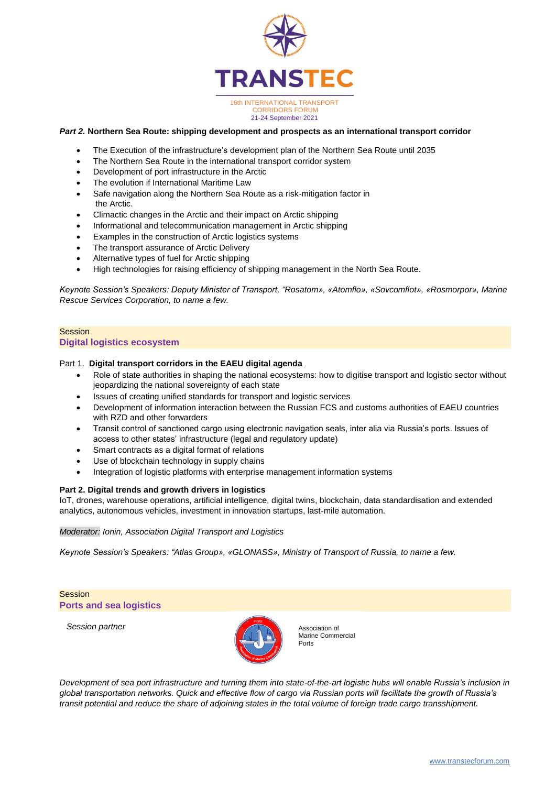

### *Part 2.* **Northern Sea Route: shipping development and prospects as an international transport corridor**

- The Execution of the infrastructure's development plan of the Northern Sea Route until 2035
- The Northern Sea Route in the international transport corridor system
- Development of port infrastructure in the Arctic
- The evolution if International Maritime Law
- Safe navigation along the Northern Sea Route as a risk-mitigation factor in the Arctic.
- Climactic changes in the Arctic and their impact on Arctic shipping
- Informational and telecommunication management in Arctic shipping
- Examples in the construction of Arctic logistics systems
- The transport assurance of Arctic Delivery
- Alternative types of fuel for Arctic shipping
- High technologies for raising efficiency of shipping management in the North Sea Route.

*Keynote Session's Speakers: Deputy Minister of Transport, "Rosatom», «Atomflo», «Sovcomflot», «Rosmorpor», Marine Rescue Services Corporation, to name a few.*

#### **Session Digital logistics ecosystem**

#### Part 1. **Digital transport corridors in the EAEU digital agenda**

- Role of state authorities in shaping the national ecosystems: how to digitise transport and logistic sector without jeopardizing the national sovereignty of each state
- Issues of creating unified standards for transport and logistic services
- Development of information interaction between the Russian FCS and customs authorities of EAEU countries with RZD and other forwarders
- Transit control of sanctioned cargo using electronic navigation seals, inter alia via Russia's ports. Issues of access to other states' infrastructure (legal and regulatory update)
- Smart contracts as a digital format of relations
- Use of blockchain technology in supply chains
- Integration of logistic platforms with enterprise management information systems

#### **Part 2. Digital trends and growth drivers in logistics**

IoT, drones, warehouse operations, artificial intelligence, digital twins, blockchain, data standardisation and extended analytics, autonomous vehicles, investment in innovation startups, last-mile automation.

*Moderator: Ionin, Association Digital Transport and Logistics*

*Keynote Session's Speakers: "Atlas Group», «GLONASS», Ministry of Transport of Russia, to name a few.*

**Session Ports and sea logistics**

*Session partner*



Association of Marine Commercial Ports

*Development of sea port infrastructure and turning them into state-of-the-art logistic hubs will enable Russia's inclusion in global transportation networks. Quick and effective flow of cargo via Russian ports will facilitate the growth of Russia's transit potential and reduce the share of adjoining states in the total volume of foreign trade cargo transshipment.*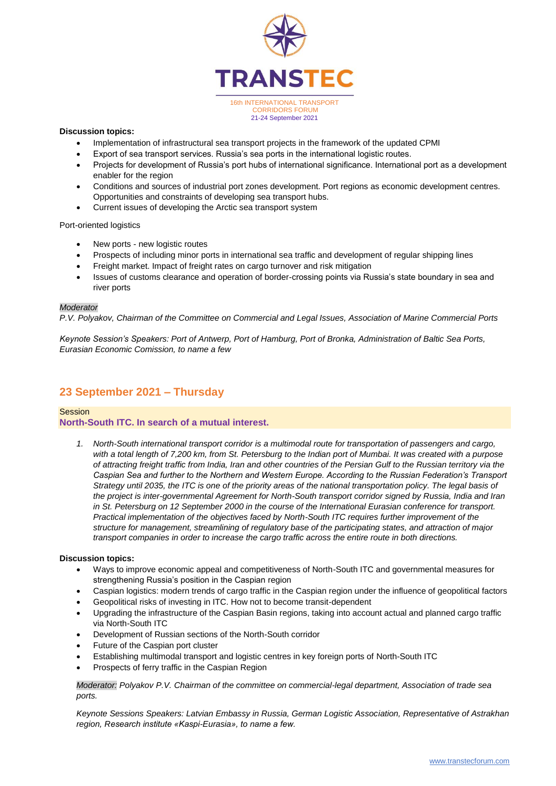

### **Discussion topics:**

- Implementation of infrastructural sea transport projects in the framework of the updated CPMI
- Export of sea transport services. Russia's sea ports in the international logistic routes.
- Projects for development of Russia's port hubs of international significance. International port as a development enabler for the region
- Conditions and sources of industrial port zones development. Port regions as economic development centres. Opportunities and constraints of developing sea transport hubs.
- Current issues of developing the Arctic sea transport system

Port-oriented logistics

- New ports new logistic routes
- Prospects of including minor ports in international sea traffic and development of regular shipping lines
- Freight market. Impact of freight rates on cargo turnover and risk mitigation
- Issues of customs clearance and operation of border-crossing points via Russia's state boundary in sea and river ports

#### *Moderator*

*P.V. Polyakov, Chairman of the Committee on Commercial and Legal Issues, Association of Marine Commercial Ports* 

*Keynote Session's Speakers: Port of Antwerp, Port of Hamburg, Port of Bronka, Administration of Baltic Sea Ports, Eurasian Economic Comission, to name a few*

# **23 September 2021 – Thursday**

#### **Session**

#### **North-South ITC. In search of a mutual interest.**

*1. North-South international transport corridor is a multimodal route for transportation of passengers and cargo, with a total length of 7,200 km, from St. Petersburg to the Indian port of Mumbai. It was created with a purpose of attracting freight traffic from India, Iran and other countries of the Persian Gulf to the Russian territory via the Caspian Sea and further to the Northern and Western Europe. According to the Russian Federation's Transport Strategy until 2035, the ITC is one of the priority areas of the national transportation policy. The legal basis of the project is inter-governmental Agreement for North-South transport corridor signed by Russia, India and Iran in St. Petersburg on 12 September 2000 in the course of the International Eurasian conference for transport. Practical implementation of the objectives faced by North-South ITC requires further improvement of the structure for management, streamlining of regulatory base of the participating states, and attraction of major transport companies in order to increase the cargo traffic across the entire route in both directions.* 

#### **Discussion topics:**

- Ways to improve economic appeal and competitiveness of North-South ITC and governmental measures for strengthening Russia's position in the Caspian region
- Caspian logistics: modern trends of cargo traffic in the Caspian region under the influence of geopolitical factors
- Geopolitical risks of investing in ITC. How not to become transit-dependent
- Upgrading the infrastructure of the Caspian Basin regions, taking into account actual and planned cargo traffic via North-South ITC
- Development of Russian sections of the North-South corridor
- Future of the Caspian port cluster
- Establishing multimodal transport and logistic centres in key foreign ports of North-South ITC
- Prospects of ferry traffic in the Caspian Region

*Moderator: Polyakov P.V. Chairman of the committee on commercial-legal department, Association of trade sea ports.*

*Keynote Sessions Speakers: Latvian Embassy in Russia, German Logistic Association, Representative of Astrakhan region, Research institute «Kaspi-Eurasia», to name a few.*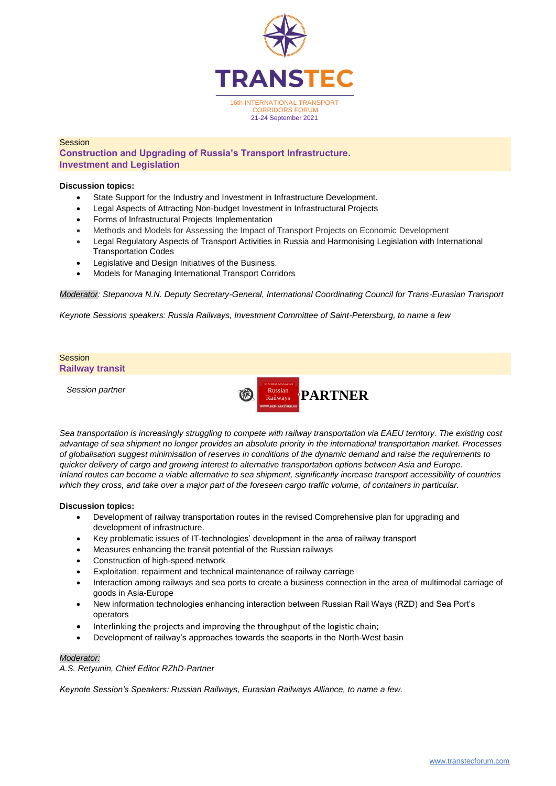

# **Session**

**Construction and Upgrading of Russia's Transport Infrastructure. Investment and Legislation**

#### **Discussion topics:**

- State Support for the Industry and Investment in Infrastructure Development.
- Legal Aspects of Attracting Non-budget Investment in Infrastructural Projects
- Forms of Infrastructural Projects Implementation
- Methods and Models for Assessing the Impact of Transport Projects on Economic Development
- Legal Regulatory Aspects of Transport Activities in Russia and Harmonising Legislation with International Transportation Codes
- Legislative and Design Initiatives of the Business.
- Models for Managing International Transport Corridors

*Moderator: Stepanova N.N. Deputy Secretary-General, International Coordinating Council for Trans-Eurasian Transport*

*Keynote Sessions speakers: Russia Railways, Investment Committee of Saint-Petersburg, to name a few*



*Sea transportation is increasingly struggling to compete with railway transportation via EAEU territory. The existing cost advantage of sea shipment no longer provides an absolute priority in the international transportation market. Processes of globalisation suggest minimisation of reserves in conditions of the dynamic demand and raise the requirements to quicker delivery of cargo and growing interest to alternative transportation options between Asia and Europe. Inland routes can become a viable alternative to sea shipment, significantly increase transport accessibility of countries which they cross, and take over a major part of the foreseen cargo traffic volume, of containers in particular.*

#### **Discussion topics:**

- Development of railway transportation routes in the revised Comprehensive plan for upgrading and development of infrastructure.
- Key problematic issues of IT-technologies' development in the area of railway transport
- Measures enhancing the transit potential of the Russian railways
- Construction of high-speed network
- Exploitation, repairment and technical maintenance of railway carriage
- Interaction among railways and sea ports to create a business connection in the area of multimodal carriage of goods in Asia-Europe
- New information technologies enhancing interaction between Russian Rail Ways (RZD) and Sea Port's operators
- Interlinking the projects and improving the throughput of the logistic chain;
- Development of railway's approaches towards the seaports in the North-West basin

#### *Moderator:*

*A.S. Retyunin, Chief Editor RZhD-Partner* 

*Keynote Session's Speakers: Russian Railways, Eurasian Railways Alliance, to name a few.*